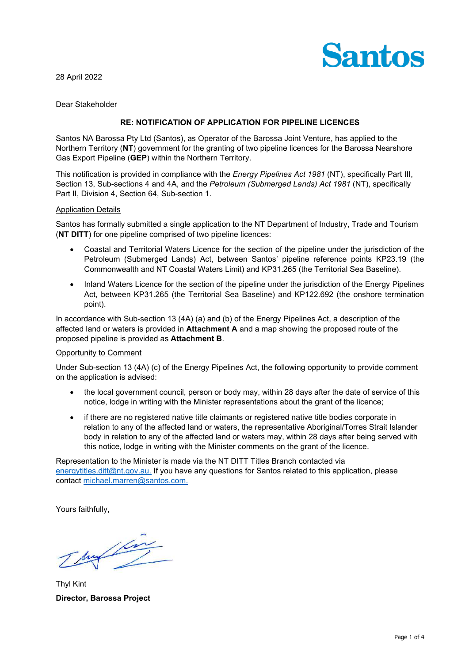

28 April 2022

Dear Stakeholder

# **RE: NOTIFICATION OF APPLICATION FOR PIPELINE LICENCES**

Santos NA Barossa Pty Ltd (Santos), as Operator of the Barossa Joint Venture, has applied to the Northern Territory (**NT**) government for the granting of two pipeline licences for the Barossa Nearshore Gas Export Pipeline (**GEP**) within the Northern Territory.

This notification is provided in compliance with the *Energy Pipelines Act 1981* (NT), specifically Part III, Section 13, Sub-sections 4 and 4A, and the *Petroleum (Submerged Lands) Act 1981* (NT), specifically Part II, Division 4, Section 64, Sub-section 1.

## Application Details

Santos has formally submitted a single application to the NT Department of Industry, Trade and Tourism (**NT DITT**) for one pipeline comprised of two pipeline licences:

- Coastal and Territorial Waters Licence for the section of the pipeline under the jurisdiction of the Petroleum (Submerged Lands) Act, between Santos' pipeline reference points KP23.19 (the Commonwealth and NT Coastal Waters Limit) and KP31.265 (the Territorial Sea Baseline).
- Inland Waters Licence for the section of the pipeline under the jurisdiction of the Energy Pipelines Act, between KP31.265 (the Territorial Sea Baseline) and KP122.692 (the onshore termination point).

In accordance with Sub-section 13 (4A) (a) and (b) of the Energy Pipelines Act, a description of the affected land or waters is provided in **Attachment A** and a map showing the proposed route of the proposed pipeline is provided as **Attachment B**.

#### Opportunity to Comment

Under Sub-section 13 (4A) (c) of the Energy Pipelines Act, the following opportunity to provide comment on the application is advised:

- the local government council, person or body may, within 28 days after the date of service of this notice, lodge in writing with the Minister representations about the grant of the licence;
- if there are no registered native title claimants or registered native title bodies corporate in relation to any of the affected land or waters, the representative Aboriginal/Torres Strait Islander body in relation to any of the affected land or waters may, within 28 days after being served with this notice, lodge in writing with the Minister comments on the grant of the licence.

Representation to the Minister is made via the NT DITT Titles Branch contacted via [energytitles.ditt@nt.gov.au.](mailto:energytitles.ditt@nt.gov.au) If you have any questions for Santos related to this application, please contact [michael.marren@santos.com.](mailto:michael.marren@santos.com)

Yours faithfully,

my fin

Thyl Kint **Director, Barossa Project**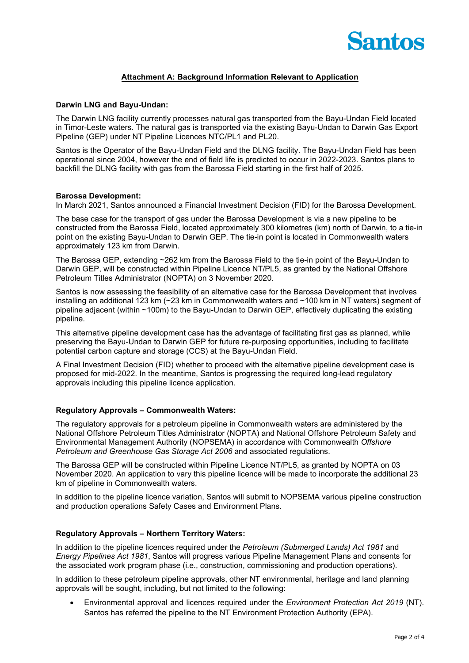

# **Attachment A: Background Information Relevant to Application**

#### **Darwin LNG and Bayu-Undan:**

The Darwin LNG facility currently processes natural gas transported from the Bayu-Undan Field located in Timor-Leste waters. The natural gas is transported via the existing Bayu-Undan to Darwin Gas Export Pipeline (GEP) under NT Pipeline Licences NTC/PL1 and PL20.

Santos is the Operator of the Bayu-Undan Field and the DLNG facility. The Bayu-Undan Field has been operational since 2004, however the end of field life is predicted to occur in 2022-2023. Santos plans to backfill the DLNG facility with gas from the Barossa Field starting in the first half of 2025.

#### **Barossa Development:**

In March 2021, Santos announced a Financial Investment Decision (FID) for the Barossa Development.

The base case for the transport of gas under the Barossa Development is via a new pipeline to be constructed from the Barossa Field, located approximately 300 kilometres (km) north of Darwin, to a tie-in point on the existing Bayu-Undan to Darwin GEP. The tie-in point is located in Commonwealth waters approximately 123 km from Darwin.

The Barossa GEP, extending ~262 km from the Barossa Field to the tie-in point of the Bayu-Undan to Darwin GEP, will be constructed within Pipeline Licence NT/PL5, as granted by the National Offshore Petroleum Titles Administrator (NOPTA) on 3 November 2020.

Santos is now assessing the feasibility of an alternative case for the Barossa Development that involves installing an additional 123 km (~23 km in Commonwealth waters and ~100 km in NT waters) segment of pipeline adjacent (within ~100m) to the Bayu-Undan to Darwin GEP, effectively duplicating the existing pipeline.

This alternative pipeline development case has the advantage of facilitating first gas as planned, while preserving the Bayu-Undan to Darwin GEP for future re-purposing opportunities, including to facilitate potential carbon capture and storage (CCS) at the Bayu-Undan Field.

A Final Investment Decision (FID) whether to proceed with the alternative pipeline development case is proposed for mid-2022. In the meantime, Santos is progressing the required long-lead regulatory approvals including this pipeline licence application.

#### **Regulatory Approvals – Commonwealth Waters:**

The regulatory approvals for a petroleum pipeline in Commonwealth waters are administered by the National Offshore Petroleum Titles Administrator (NOPTA) and National Offshore Petroleum Safety and Environmental Management Authority (NOPSEMA) in accordance with Commonwealth *Offshore Petroleum and Greenhouse Gas Storage Act 2006* and associated regulations.

The Barossa GEP will be constructed within Pipeline Licence NT/PL5, as granted by NOPTA on 03 November 2020. An application to vary this pipeline licence will be made to incorporate the additional 23 km of pipeline in Commonwealth waters.

In addition to the pipeline licence variation, Santos will submit to NOPSEMA various pipeline construction and production operations Safety Cases and Environment Plans.

#### **Regulatory Approvals – Northern Territory Waters:**

In addition to the pipeline licences required under the *Petroleum (Submerged Lands) Act 1981* and *Energy Pipelines Act 1981*, Santos will progress various Pipeline Management Plans and consents for the associated work program phase (i.e., construction, commissioning and production operations).

In addition to these petroleum pipeline approvals, other NT environmental, heritage and land planning approvals will be sought, including, but not limited to the following:

• Environmental approval and licences required under the *Environment Protection Act 2019* (NT). Santos has referred the pipeline to the NT Environment Protection Authority (EPA).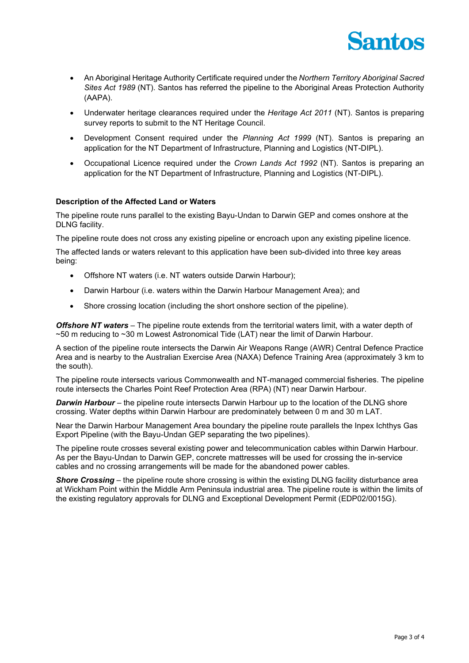

- An Aboriginal Heritage Authority Certificate required under the *Northern Territory Aboriginal Sacred Sites Act 1989* (NT). Santos has referred the pipeline to the Aboriginal Areas Protection Authority (AAPA).
- Underwater heritage clearances required under the *Heritage Act 2011* (NT). Santos is preparing survey reports to submit to the NT Heritage Council.
- Development Consent required under the *Planning Act 1999* (NT). Santos is preparing an application for the NT Department of Infrastructure, Planning and Logistics (NT-DIPL).
- Occupational Licence required under the *Crown Lands Act 1992* (NT). Santos is preparing an application for the NT Department of Infrastructure, Planning and Logistics (NT-DIPL).

## **Description of the Affected Land or Waters**

The pipeline route runs parallel to the existing Bayu-Undan to Darwin GEP and comes onshore at the DLNG facility.

The pipeline route does not cross any existing pipeline or encroach upon any existing pipeline licence.

The affected lands or waters relevant to this application have been sub-divided into three key areas being:

- Offshore NT waters (i.e. NT waters outside Darwin Harbour);
- Darwin Harbour (i.e. waters within the Darwin Harbour Management Area); and
- Shore crossing location (including the short onshore section of the pipeline).

*Offshore NT waters* – The pipeline route extends from the territorial waters limit, with a water depth of ~50 m reducing to ~30 m Lowest Astronomical Tide (LAT) near the limit of Darwin Harbour.

A section of the pipeline route intersects the Darwin Air Weapons Range (AWR) Central Defence Practice Area and is nearby to the Australian Exercise Area (NAXA) Defence Training Area (approximately 3 km to the south).

The pipeline route intersects various Commonwealth and NT-managed commercial fisheries. The pipeline route intersects the Charles Point Reef Protection Area (RPA) (NT) near Darwin Harbour.

*Darwin Harbour* – the pipeline route intersects Darwin Harbour up to the location of the DLNG shore crossing. Water depths within Darwin Harbour are predominately between 0 m and 30 m LAT.

Near the Darwin Harbour Management Area boundary the pipeline route parallels the Inpex Ichthys Gas Export Pipeline (with the Bayu-Undan GEP separating the two pipelines).

The pipeline route crosses several existing power and telecommunication cables within Darwin Harbour. As per the Bayu-Undan to Darwin GEP, concrete mattresses will be used for crossing the in-service cables and no crossing arrangements will be made for the abandoned power cables.

*Shore Crossing* – the pipeline route shore crossing is within the existing DLNG facility disturbance area at Wickham Point within the Middle Arm Peninsula industrial area. The pipeline route is within the limits of the existing regulatory approvals for DLNG and Exceptional Development Permit (EDP02/0015G).